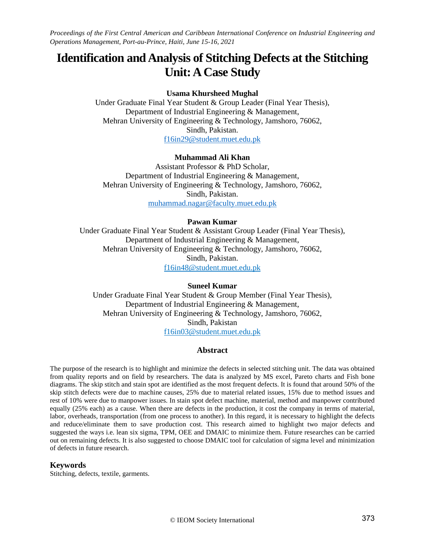# **Identification andAnalysis of Stitching Defects at the Stitching Unit: A Case Study**

## **Usama Khursheed Mughal**

Under Graduate Final Year Student & Group Leader (Final Year Thesis), Department of Industrial Engineering & Management, Mehran University of Engineering & Technology, Jamshoro, 76062, Sindh, Pakistan. [f16in29@student.muet.edu.pk](mailto:f16in29@student.muet.edu.pk)

## **Muhammad Ali Khan**

Assistant Professor & PhD Scholar, Department of Industrial Engineering & Management, Mehran University of Engineering & Technology, Jamshoro, 76062, Sindh, Pakistan. [muhammad.nagar@faculty.muet.edu.pk](mailto:muhammad.nagar@faculty.muet.edu.pk)

## **Pawan Kumar**

Under Graduate Final Year Student & Assistant Group Leader (Final Year Thesis), Department of Industrial Engineering & Management, Mehran University of Engineering & Technology, Jamshoro, 76062, Sindh, Pakistan. f16in48@student.muet.edu.pk

# **Suneel Kumar**

Under Graduate Final Year Student & Group Member (Final Year Thesis), Department of Industrial Engineering & Management, Mehran University of Engineering & Technology, Jamshoro, 76062, Sindh, Pakistan f16in03@student.muet.edu.pk

# **Abstract**

The purpose of the research is to highlight and minimize the defects in selected stitching unit. The data was obtained from quality reports and on field by researchers. The data is analyzed by MS excel, Pareto charts and Fish bone diagrams. The skip stitch and stain spot are identified as the most frequent defects. It is found that around 50% of the skip stitch defects were due to machine causes, 25% due to material related issues, 15% due to method issues and rest of 10% were due to manpower issues. In stain spot defect machine, material, method and manpower contributed equally (25% each) as a cause. When there are defects in the production, it cost the company in terms of material, labor, overheads, transportation (from one process to another). In this regard, it is necessary to highlight the defects and reduce/eliminate them to save production cost. This research aimed to highlight two major defects and suggested the ways i.e. lean six sigma, TPM, OEE and DMAIC to minimize them. Future researches can be carried out on remaining defects. It is also suggested to choose DMAIC tool for calculation of sigma level and minimization of defects in future research.

#### **Keywords**

Stitching, defects, textile, garments.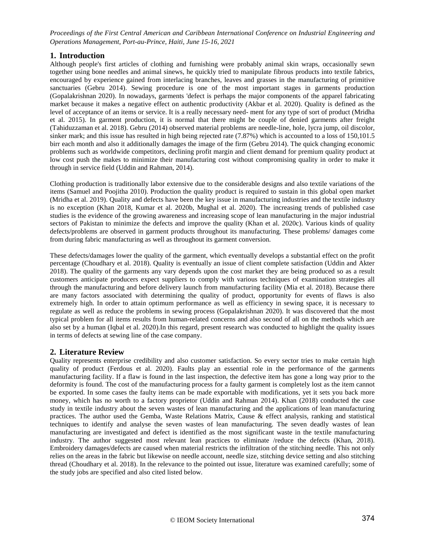# **1. Introduction**

Although people's first articles of clothing and furnishing were probably animal skin wraps, occasionally sewn together using bone needles and animal sinews, he quickly tried to manipulate fibrous products into textile fabrics, encouraged by experience gained from interlacing branches, leaves and grasses in the manufacturing of primitive sanctuaries (Gebru 2014). Sewing procedure is one of the most important stages in garments production (Gopalakrishnan 2020). In nowadays, garments 'defect is perhaps the major components of the apparel fabricating market because it makes a negative effect on authentic productivity (Akbar et al. 2020). Quality is defined as the level of acceptance of an items or service. It is a really necessary need- ment for any type of sort of product (Mridha et al. 2015). In garment production, it is normal that there might be couple of denied garments after freight (Tahiduzzaman et al. 2018). Gebru (2014) observed material problems are needle-line, hole, lycra jump, oil discolor, sinker mark; and this issue has resulted in high being rejected rate (7.87%) which is accounted to a loss of 150,101.5 birr each month and also it additionally damages the image of the firm (Gebru 2014). The quick changing economic problems such as worldwide competitors, declining profit margin and client demand for premium quality product at low cost push the makes to minimize their manufacturing cost without compromising quality in order to make it through in service field (Uddin and Rahman, 2014).

Clothing production is traditionally labor extensive due to the considerable designs and also textile variations of the items (Samuel and Poojitha 2010). Production the quality product is required to sustain in this global open market (Mridha et al. 2019). Quality and defects have been the key issue in manufacturing industries and the textile industry is no exception (Khan 2018, Kumar et al. 2020b, Mughal et al. 2020). The increasing trends of published case studies is the evidence of the growing awareness and increasing scope of lean manufacturing in the major industrial sectors of Pakistan to minimize the defects and improve the quality (Khan et al. 2020c). Various kinds of quality defects/problems are observed in garment products throughout its manufacturing. These problems/ damages come from during fabric manufacturing as well as throughout its garment conversion.

These defects/damages lower the quality of the garment, which eventually develops a substantial effect on the profit percentage (Choudhary et al. 2018). Quality is eventually an issue of client complete satisfaction (Uddin and Akter 2018). The quality of the garments any vary depends upon the cost market they are being produced so as a result customers anticipate producers expect suppliers to comply with various techniques of examination strategies all through the manufacturing and before delivery launch from manufacturing facility (Mia et al. 2018). Because there are many factors associated with determining the quality of product, opportunity for events of flaws is also extremely high. In order to attain optimum performance as well as efficiency in sewing space, it is necessary to regulate as well as reduce the problems in sewing process (Gopalakrishnan 2020). It was discovered that the most typical problem for all items results from human-related concerns and also second of all on the methods which are also set by a human (Iqbal et al. 2020).In this regard, present research was conducted to highlight the quality issues in terms of defects at sewing line of the case company.

# **2. Literature Review**

Quality represents enterprise credibility and also customer satisfaction. So every sector tries to make certain high quality of product (Ferdous et al. 2020). Faults play an essential role in the performance of the garments manufacturing facility. If a flaw is found in the last inspection, the defective item has gone a long way prior to the deformity is found. The cost of the manufacturing process for a faulty garment is completely lost as the item cannot be exported. In some cases the faulty items can be made exportable with modifications, yet it sets you back more money, which has no worth to a factory proprietor (Uddin and Rahman 2014). Khan (2018) conducted the case study in textile industry about the seven wastes of lean manufacturing and the applications of lean manufacturing practices. The author used the Gemba, Waste Relations Matrix, Cause & effect analysis, ranking and statistical techniques to identify and analyse the seven wastes of lean manufacturing. The seven deadly wastes of lean manufacturing are investigated and defect is identified as the most significant waste in the textile manufacturing industry. The author suggested most relevant lean practices to eliminate /reduce the defects (Khan, 2018). Embroidery damages/defects are caused when material restricts the infiltration of the stitching needle. This not only relies on the areas in the fabric but likewise on needle account, needle size, stitching device setting and also stitching thread (Choudhary et al. 2018). In the relevance to the pointed out issue, literature was examined carefully; some of the study jobs are specified and also cited listed below.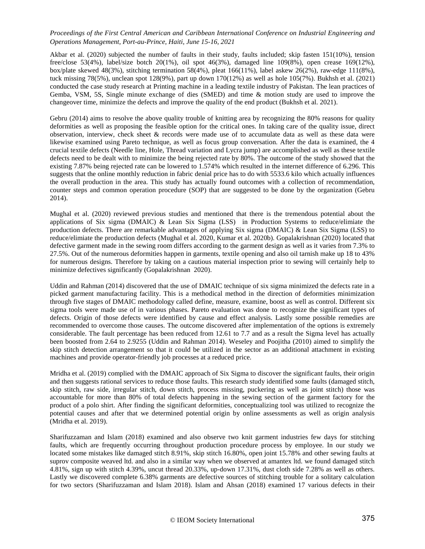Akbar et al. (2020) subjected the number of faults in their study, faults included; skip fasten 151(10%), tension free/close 53(4%), label/size botch 20(1%), oil spot 46(3%), damaged line 109(8%), open crease 169(12%), box/plate skewed 48(3%), stitching termination 58(4%), pleat 166(11%), label askew 26(2%), raw-edge 111(8%), tuck missing 78(5%), unclean spot 128(9%), part up down 170(12%) as well as hole 105(7%). Bukhsh et al. (2021) conducted the case study research at Printing machine in a leading textile industry of Pakistan. The lean practices of Gemba, VSM, 5S, Single minute exchange of dies (SMED) and time & motion study are used to improve the changeover time, minimize the defects and improve the quality of the end product (Bukhsh et al. 2021).

Gebru (2014) aims to resolve the above quality trouble of knitting area by recognizing the 80% reasons for quality deformities as well as proposing the feasible option for the critical ones. In taking care of the quality issue, direct observation, interview, check sheet & records were made use of to accumulate data as well as these data were likewise examined using Pareto technique, as well as focus group conversation. After the data is examined, the 4 crucial textile defects (Needle line, Hole, Thread variation and Lycra jump) are accomplished as well as these textile defects need to be dealt with to minimize the being rejected rate by 80%. The outcome of the study showed that the existing 7.87% being rejected rate can be lowered to 1.574% which resulted in the internet difference of 6.296. This suggests that the online monthly reduction in fabric denial price has to do with 5533.6 kilo which actually influences the overall production in the area. This study has actually found outcomes with a collection of recommendation, counter steps and common operation procedure (SOP) that are suggested to be done by the organization (Gebru 2014).

Mughal et al. (2020) reviewed previous studies and mentioned that there is the tremendous potential about the applications of Six sigma (DMAIC) & Lean Six Sigma (LSS) in Production Systems to reduce/elimiate the production defects. There are remarkable advantages of applying Six sigma (DMAIC) & Lean Six Sigma (LSS) to reduce/elimiate the production defects (Mughal et al. 2020, Kumar et al. 2020b). Gopalakrishnan (2020) located that defective garment made in the sewing room differs according to the garment design as well as it varies from 7.3% to 27.5%. Out of the numerous deformities happen in garments, textile opening and also oil tarnish make up 18 to 43% for numerous designs. Therefore by taking on a cautious material inspection prior to sewing will certainly help to minimize defectives significantly (Gopalakrishnan 2020).

Uddin and Rahman (2014) discovered that the use of DMAIC technique of six sigma minimized the defects rate in a picked garment manufacturing facility. This is a methodical method in the direction of deformities minimization through five stages of DMAIC methodology called define, measure, examine, boost as well as control. Different six sigma tools were made use of in various phases. Pareto evaluation was done to recognize the significant types of defects. Origin of those defects were identified by cause and effect analysis. Lastly some possible remedies are recommended to overcome those causes. The outcome discovered after implementation of the options is extremely considerable. The fault percentage has been reduced from 12.61 to 7.7 and as a result the Sigma level has actually been boosted from 2.64 to 2.9255 (Uddin and Rahman 2014). Weseley and Poojitha (2010) aimed to simplify the skip stitch detection arrangement so that it could be utilized in the sector as an additional attachment in existing machines and provide operator-friendly job processes at a reduced price.

Mridha et al. (2019) complied with the DMAIC approach of Six Sigma to discover the significant faults, their origin and then suggests rational services to reduce those faults. This research study identified some faults (damaged stitch, skip stitch, raw side, irregular stitch, down stitch, process missing, puckering as well as joint stitch) those was accountable for more than 80% of total defects happening in the sewing section of the garment factory for the product of a polo shirt. After finding the significant deformities, conceptualizing tool was utilized to recognize the potential causes and after that we determined potential origin by online assessments as well as origin analysis (Mridha et al. 2019).

Sharifuzzaman and Islam (2018) examined and also observe two knit garment industries few days for stitching faults, which are frequently occurring throughout production procedure process by employee. In our study we located some mistakes like damaged stitch 8.91%, skip stitch 16.80%, open joint 15.78% and other sewing faults at suprov composite weaved ltd. and also in a similar way when we observed at amantex ltd. we found damaged stitch 4.81%, sign up with stitch 4.39%, uncut thread 20.33%, up-down 17.31%, dust cloth side 7.28% as well as others. Lastly we discovered complete 6.38% garments are defective sources of stitching trouble for a solitary calculation for two sectors (Sharifuzzaman and Islam 2018). Islam and Ahsan (2018) examined 17 various defects in their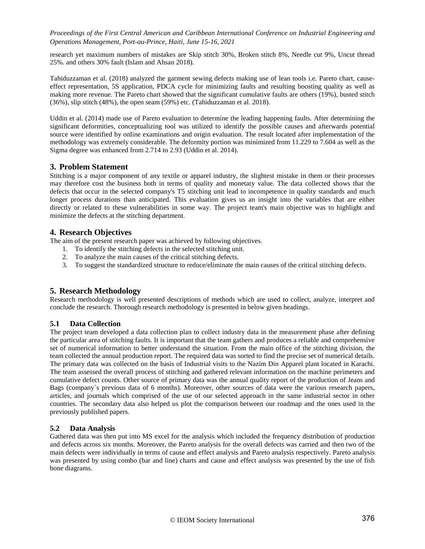research yet maximum numbers of mistakes are Skip stitch 30%, Broken stitch 8%, Needle cut 9%, Uncut thread 25%. and others 30% fault (Islam and Ahsan 2018).

Tahiduzzaman et al. (2018) analyzed the garment sewing defects making use of lean tools i.e. Pareto chart, causeeffect representation, 5S application, PDCA cycle for minimizing faults and resulting boosting quality as well as making more revenue. The Pareto chart showed that the significant cumulative faults are others (19%), busted stitch (36%), slip stitch (48%), the open seam (59%) etc. (Tahiduzzaman et al. 2018).

Uddin et al. (2014) made use of Pareto evaluation to determine the leading happening faults. After determining the significant deformities, conceptualizing tool was utilized to identify the possible causes and afterwards potential source were identified by online examinations and origin evaluation. The result located after implementation of the methodology was extremely considerable. The deformity portion was minimized from 11.229 to 7.604 as well as the Sigma degree was enhanced from 2.714 to 2.93 (Uddin et al. 2014).

## **3. Problem Statement**

Stitching is a major component of any textile or apparel industry, the slightest mistake in them or their processes may therefore cost the business both in terms of quality and monetary value. The data collected shows that the defects that occur in the selected company's T5 stitching unit lead to incompetence in quality standards and much longer process durations than anticipated. This evaluation gives us an insight into the variables that are either directly or related to these vulnerabilities in some way. The project team's main objective was to highlight and minimize the defects at the stitching department.

# **4. Research Objectives**

The aim of the present research paper was achieved by following objectives.

- 1. To identify the stitching defects in the selected stitching unit.
- 2. To analyze the main causes of the critical stitching defects.
- 3. To suggest the standardized structure to reduce/eliminate the main causes of the critical stitching defects.

# **5. Research Methodology**

Research methodology is well presented descriptions of methods which are used to collect, analyze, interpret and conclude the research. Thorough research methodology is presented in below given headings.

#### **5.1 Data Collection**

The project team developed a data collection plan to collect industry data in the measurement phase after defining the particular area of stitching faults. It is important that the team gathers and produces a reliable and comprehensive set of numerical information to better understand the situation. From the main office of the stitching division, the team collected the annual production report. The required data was sorted to find the precise set of numerical details. The primary data was collected on the basis of Industrial visits to the Nazim Din Apparel plant located in Karachi. The team assessed the overall process of stitching and gathered relevant information on the machine perimeters and cumulative defect counts. Other source of primary data was the annual quality report of the production of Jeans and Bags (company`s previous data of 6 months). Moreover, other sources of data were the various research papers, articles, and journals which comprised of the use of our selected approach in the same industrial sector in other countries. The secondary data also helped us plot the comparison between our roadmap and the ones used in the previously published papers.

## **5.2 Data Analysis**

Gathered data was then put into MS excel for the analysis which included the frequency distribution of production and defects across six months. Moreover, the Pareto analysis for the overall defects was carried and then two of the main defects were individually in terms of cause and effect analysis and Pareto analysis respectively. Pareto analysis was presented by using combo (bar and line) charts and cause and effect analysis was presented by the use of fish bone diagrams.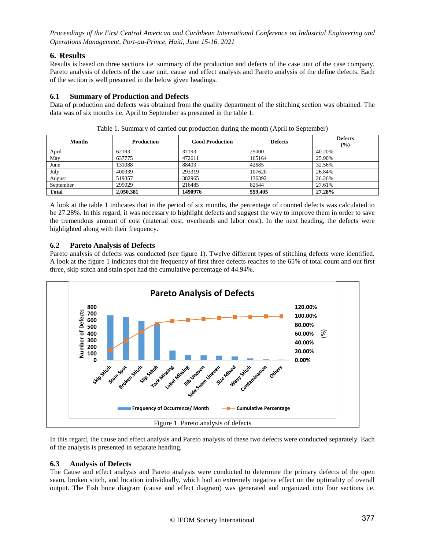# **6. Results**

Results is based on three sections i.e. summary of the production and defects of the case unit of the case company, Pareto analysis of defects of the case unit, cause and effect analysis and Pareto analysis of the define defects. Each of the section is well presented in the below given headings.

# **6.1 Summary of Production and Defects**

Data of production and defects was obtained from the quality department of the stitching section was obtained. The data was of six months i.e. April to September as presented in the table 1.

| <b>Months</b> | <b>Production</b> | <b>Good Production</b> | <b>Defects</b> | <b>Defects</b><br>$\frac{1}{2}$ |
|---------------|-------------------|------------------------|----------------|---------------------------------|
| April         | 62193             | 37193                  | 25000          | 40.20%                          |
| May           | 637775            | 472611                 | 165164         | 25.90%                          |
| June          | 131088            | 88403                  | 42685          | 32.56%                          |
| July          | 400939            | 293319                 | 107620         | 26.84%                          |
| August        | 519357            | 382965                 | 136392         | 26.26%                          |
| September     | 299029            | 216485                 | 82544          | 27.61%                          |
| <b>Total</b>  | 2.050.381         | 1490976                | 559,405        | 27.28%                          |

Table 1. Summary of carried out production during the month (April to September)

A look at the table 1 indicates that in the period of six months, the percentage of counted defects was calculated to be 27.28%. In this regard, it was necessary to highlight defects and suggest the way to improve them in order to save the tremendous amount of cost (material cost, overheads and labor cost). In the next heading, the defects were highlighted along with their frequency.

# **6.2 Pareto Analysis of Defects**

Pareto analysis of defects was conducted (see figure 1). Twelve different types of stitching defects were identified. A look at the figure 1 indicates that the frequency of first three defects reaches to the 65% of total count and out first three, skip stitch and stain spot had the cumulative percentage of 44.94%.



In this regard, the cause and effect analysis and Pareto analysis of these two defects were conducted separately. Each of the analysis is presented in separate heading.

# **6.3 Analysis of Defects**

The Cause and effect analysis and Pareto analysis were conducted to determine the primary defects of the open seam, broken stitch, and location individually, which had an extremely negative effect on the optimality of overall output. The Fish bone diagram (cause and effect diagram) was generated and organized into four sections i.e.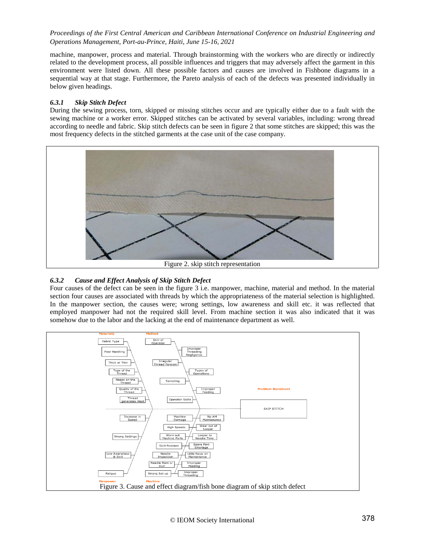machine, manpower, process and material. Through brainstorming with the workers who are directly or indirectly related to the development process, all possible influences and triggers that may adversely affect the garment in this environment were listed down. All these possible factors and causes are involved in Fishbone diagrams in a sequential way at that stage. Furthermore, the Pareto analysis of each of the defects was presented individually in below given headings.

#### *6.3.1 Skip Stitch Defect*

During the sewing process, torn, skipped or missing stitches occur and are typically either due to a fault with the sewing machine or a worker error. Skipped stitches can be activated by several variables, including: wrong thread according to needle and fabric. Skip stitch defects can be seen in figure 2 that some stitches are skipped; this was the most frequency defects in the stitched garments at the case unit of the case company.



Figure 2. skip stitch representation

## *6.3.2 Cause and Effect Analysis of Skip Stitch Defect*

Four causes of the defect can be seen in the figure 3 i.e. manpower, machine, material and method. In the material section four causes are associated with threads by which the appropriateness of the material selection is highlighted. In the manpower section, the causes were; wrong settings, low awareness and skill etc. it was reflected that employed manpower had not the required skill level. From machine section it was also indicated that it was somehow due to the labor and the lacking at the end of maintenance department as well.

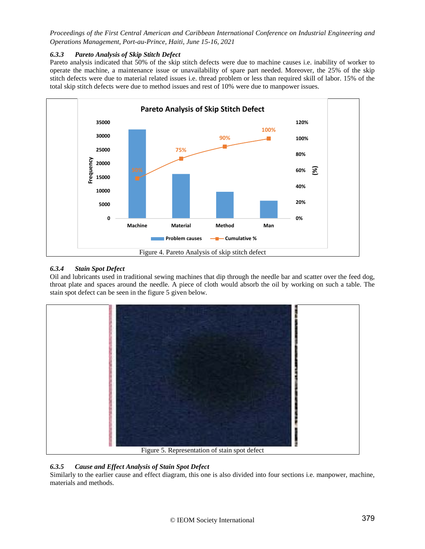## *6.3.3 Pareto Analysis of Skip Stitch Defect*

Pareto analysis indicated that 50% of the skip stitch defects were due to machine causes i.e. inability of worker to operate the machine, a maintenance issue or unavailability of spare part needed. Moreover, the 25% of the skip stitch defects were due to material related issues i.e. thread problem or less than required skill of labor. 15% of the total skip stitch defects were due to method issues and rest of 10% were due to manpower issues.



# *6.3.4 Stain Spot Defect*

Oil and lubricants used in traditional sewing machines that dip through the needle bar and scatter over the feed dog, throat plate and spaces around the needle. A piece of cloth would absorb the oil by working on such a table. The stain spot defect can be seen in the figure 5 given below.



# *6.3.5 Cause and Effect Analysis of Stain Spot Defect*

Similarly to the earlier cause and effect diagram, this one is also divided into four sections i.e. manpower, machine, materials and methods.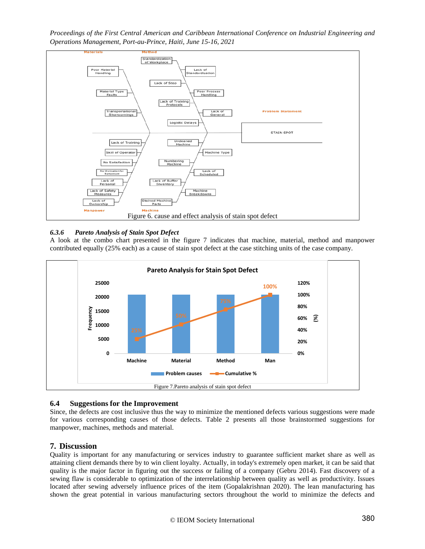*Proceedings of the First Central American and Caribbean International Conference on Industrial Engineering and Operations Management, Port-au-Prince, Haiti, June 15-16, 2021*



#### *6.3.6 Pareto Analysis of Stain Spot Defect*

A look at the combo chart presented in the figure 7 indicates that machine, material, method and manpower contributed equally (25% each) as a cause of stain spot defect at the case stitching units of the case company.



# **6.4 Suggestions for the Improvement**

Since, the defects are cost inclusive thus the way to minimize the mentioned defects various suggestions were made for various corresponding causes of those defects. Table 2 presents all those brainstormed suggestions for manpower, machines, methods and material.

## **7. Discussion**

Quality is important for any manufacturing or services industry to guarantee sufficient market share as well as attaining client demands there by to win client loyalty. Actually, in today's extremely open market, it can be said that quality is the major factor in figuring out the success or failing of a company (Gebru 2014). Fast discovery of a sewing flaw is considerable to optimization of the interrelationship between quality as well as productivity. Issues located after sewing adversely influence prices of the item (Gopalakrishnan 2020). The lean manufacturing has shown the great potential in various manufacturing sectors throughout the world to minimize the defects and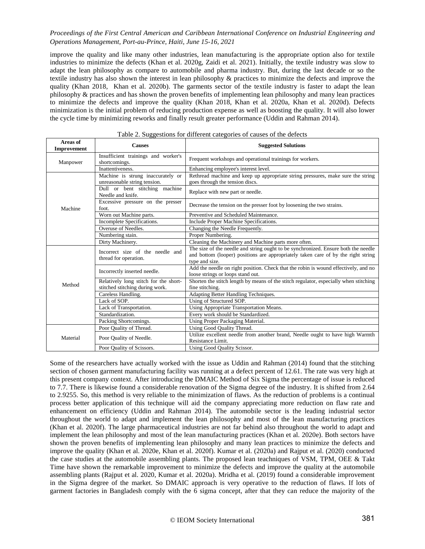improve the quality and like many other industries, lean manufacturing is the appropriate option also for textile industries to minimize the defects (Khan et al. 2020g, Zaidi et al. 2021). Initially, the textile industry was slow to adapt the lean philosophy as compare to automobile and pharma industry. But, during the last decade or so the textile industry has also shown the interest in lean philosophy & practices to minimize the defects and improve the quality (Khan 2018, Khan et al. 2020b). The garments sector of the textile industry is faster to adapt the lean philosophy & practices and has shown the proven benefits of implementing lean philosophy and many lean practices to minimize the defects and improve the quality (Khan 2018, Khan et al. 2020a, Khan et al. 2020d). Defects minimization is the initial problem of reducing production expense as well as boosting the quality. It will also lower the cycle time by minimizing reworks and finally result greater performance (Uddin and Rahman 2014).

| Areas of<br>Improvement | <b>Causes</b>                                                            | <b>Suggested Solutions</b>                                                                                                                                                                |  |
|-------------------------|--------------------------------------------------------------------------|-------------------------------------------------------------------------------------------------------------------------------------------------------------------------------------------|--|
| Manpower                | Insufficient trainings and worker's<br>shortcomings.                     | Frequent workshops and operational trainings for workers.                                                                                                                                 |  |
|                         | Inattentiveness.                                                         | Enhancing employee's interest level.                                                                                                                                                      |  |
| Machine                 | Machine is strung inaccurately or<br>unreasonable string tension.        | Rethread machine and keep up appropriate string pressures, make sure the string<br>goes through the tension discs.                                                                        |  |
|                         | Dull or bent stitching machine<br>Needle and knife.                      | Replace with new part or needle.                                                                                                                                                          |  |
|                         | Excessive pressure on the presser<br>foot.                               | Decrease the tension on the presser foot by loosening the two strains.                                                                                                                    |  |
|                         | Worn out Machine parts.                                                  | Preventive and Scheduled Maintenance.                                                                                                                                                     |  |
|                         | Incomplete Specifications.                                               | Include Proper Machine Specifications.                                                                                                                                                    |  |
|                         | Overuse of Needles.                                                      | Changing the Needle Frequently.                                                                                                                                                           |  |
|                         | Numbering stain.                                                         | Proper Numbering.                                                                                                                                                                         |  |
|                         | Dirty Machinery.                                                         | Cleaning the Machinery and Machine parts more often.                                                                                                                                      |  |
| Method                  | Incorrect size of the needle and<br>thread for operation.                | The size of the needle and string ought to be synchronized. Ensure both the needle<br>and bottom (looper) positions are appropriately taken care of by the right string<br>type and size. |  |
|                         | Incorrectly inserted needle.                                             | Add the needle on right position. Check that the robin is wound effectively, and no<br>loose strings or loops stand out.                                                                  |  |
|                         | Relatively long stitch for the short-<br>stitched stitching during work. | Shorten the stitch length by means of the stitch regulator, especially when stitching<br>fine stitching.                                                                                  |  |
|                         | Careless Handling.                                                       | Adapting Better Handling Techniques.                                                                                                                                                      |  |
|                         | Lack of SOP.                                                             | Using of Structured SOP.                                                                                                                                                                  |  |
|                         | Lack of Transportation.                                                  | Using Appropriate Transportation Means.                                                                                                                                                   |  |
|                         | Standardization.                                                         | Every work should be Standardized.                                                                                                                                                        |  |
|                         | Packing Shortcomings.                                                    | Using Proper Packaging Material.                                                                                                                                                          |  |
|                         | Poor Quality of Thread.                                                  | Using Good Quality Thread.                                                                                                                                                                |  |
| Material                | Poor Quality of Needle.                                                  | Utilize excellent needle from another brand, Needle ought to have high Warmth<br>Resistance Limit.                                                                                        |  |
|                         | Poor Quality of Scissors.                                                | Using Good Quality Scissor.                                                                                                                                                               |  |

| Table 2. Suggestions for different categories of causes of the defects |  |  |
|------------------------------------------------------------------------|--|--|
|                                                                        |  |  |

Some of the researchers have actually worked with the issue as Uddin and Rahman (2014) found that the stitching section of chosen garment manufacturing facility was running at a defect percent of 12.61. The rate was very high at this present company context. After introducing the DMAIC Method of Six Sigma the percentage of issue is reduced to 7.7. There is likewise found a considerable renovation of the Sigma degree of the industry. It is shifted from 2.64 to 2.9255. So, this method is very reliable to the minimization of flaws. As the reduction of problems is a continual process better application of this technique will aid the company appreciating more reduction on flaw rate and enhancement on efficiency (Uddin and Rahman 2014). The automobile sector is the leading industrial sector throughout the world to adapt and implement the lean philosophy and most of the lean manufacturing practices (Khan et al. 2020f). The large pharmaceutical industries are not far behind also throughout the world to adapt and implement the lean philosophy and most of the lean manufacturing practices (Khan et al. 2020e). Both sectors have shown the proven benefits of implementing lean philosophy and many lean practices to minimize the defects and improve the quality (Khan et al. 2020e, Khan et al. 2020f). Kumar et al. (2020a) and Rajput et al. (2020) conducted the case studies at the automobile assembling plants. The proposed lean teachniques of VSM, TPM, OEE & Takt Time have shown the remarkable improvement to minimize the defects and improve the quality at the automobile assembling plants (Rajput et al. 2020, Kumar et al. 2020a). Mridha et al. (2019) found a considerable improvement in the Sigma degree of the market. So DMAIC approach is very operative to the reduction of flaws. If lots of garment factories in Bangladesh comply with the 6 sigma concept, after that they can reduce the majority of the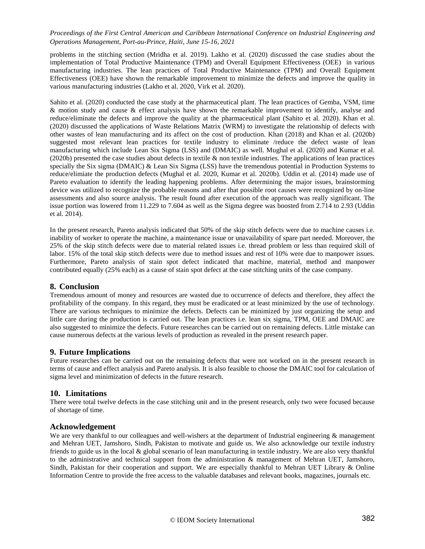problems in the stitching section (Mridha et al. 2019). Lakho et al. (2020) discussed the case studies about the implementation of Total Productive Maintenance (TPM) and Overall Equipment Effectiveness (OEE) in various manufacturing industries. The lean practices of Total Productive Maintenance (TPM) and Overall Equipment Effectiveness (OEE) have shown the remarkable improvement to minimize the defects and improve the quality in various manufacturing industries (Lakho et al. 2020, Virk et al. 2020).

Sahito et al. (2020) conducted the case study at the pharmaceutical plant. The lean practices of Gemba, VSM, time & motion study and cause & effect analysis have shown the remarkable improvement to identify, analyse and reduce/eliminate the defects and improve the quality at the pharmaceutical plant (Sahito et al. 2020). Khan et al. (2020) discussed the applications of Waste Relations Matrix (WRM) to investigate the relationship of defects with other wastes of lean manufacturing and its affect on the cost of production. Khan (2018) and Khan et al. (2020b) suggested most relevant lean practices for textile industry to eliminate /reduce the defect waste of lean manufacturing which include Lean Six Sigma (LSS) and (DMAIC) as well. Mughal et al. (2020) and Kumar et al. (2020b) presented the case studies about defects in textile & non textile industries. The applications of lean practices specially the Six sigma (DMAIC) & Lean Six Sigma (LSS) have the tremendous potential in Production Systems to reduce/elimiate the production defects (Mughal et al. 2020, Kumar et al. 2020b). Uddin et al. (2014) made use of Pareto evaluation to identify the leading happening problems. After determining the major issues, brainstorming device was utilized to recognize the probable reasons and after that possible root causes were recognized by on-line assessments and also source analysis. The result found after execution of the approach was really significant. The issue portion was lowered from 11.229 to 7.604 as well as the Sigma degree was boosted from 2.714 to 2.93 (Uddin et al. 2014).

In the present research, Pareto analysis indicated that 50% of the skip stitch defects were due to machine causes i.e. inability of worker to operate the machine, a maintenance issue or unavailability of spare part needed. Moreover, the 25% of the skip stitch defects were due to material related issues i.e. thread problem or less than required skill of labor. 15% of the total skip stitch defects were due to method issues and rest of 10% were due to manpower issues. Furthermore, Pareto analysis of stain spot defect indicated that machine, material, method and manpower contributed equally (25% each) as a cause of stain spot defect at the case stitching units of the case company.

# **8. Conclusion**

Tremendous amount of money and resources are wasted due to occurrence of defects and therefore, they affect the profitability of the company. In this regard, they must be eradicated or at least minimized by the use of technology. There are various techniques to minimize the defects. Defects can be minimized by just organizing the setup and little care during the production is carried out. The lean practices i.e. lean six sigma, TPM, OEE and DMAIC are also suggested to minimize the defects. Future researches can be carried out on remaining defects. Little mistake can cause numerous defects at the various levels of production as revealed in the present research paper.

# **9. Future Implications**

Future researches can be carried out on the remaining defects that were not worked on in the present research in terms of cause and effect analysis and Pareto analysis. It is also feasible to choose the DMAIC tool for calculation of sigma level and minimization of defects in the future research.

# **10. Limitations**

There were total twelve defects in the case stitching unit and in the present research, only two were focused because of shortage of time.

# **Acknowledgement**

We are very thankful to our colleagues and well-wishers at the department of Industrial engineering & management and Mehran UET, Jamshoro, Sindh, Pakistan to motivate and guide us. We also acknowledge our textile industry friends to guide us in the local & global scenario of lean manufacturing in textile industry. We are also very thankful to the administrative and technical support from the administration & management of Mehran UET, Jamshoro, Sindh, Pakistan for their cooperation and support. We are especially thankful to Mehran UET Library & Online Information Centre to provide the free access to the valuable databases and relevant books, magazines, journals etc.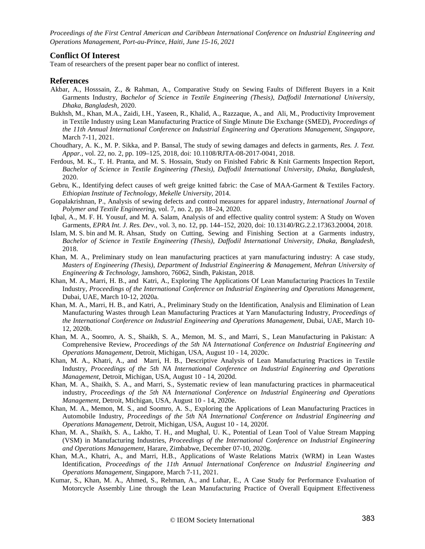#### **Conflict Of Interest**

Team of researchers of the present paper bear no conflict of interest.

#### **References**

- Akbar, A., Hosssain, Z., & Rahman, A., Comparative Study on Sewing Faults of Different Buyers in a Knit Garments Industry, *Bachelor of Science in Textile Engineering (Thesis), Daffodil International University, Dhaka, Bangladesh*, 2020.
- Bukhsh, M., Khan, M.A., Zaidi, I.H., Yaseen, R., Khalid, A., Razzaque, A., and Ali, M., [Productivity Improvement](https://scholar.google.com/citations?view_op=view_citation&hl=en&user=dmkwxGoAAAAJ&sortby=pubdate&citation_for_view=dmkwxGoAAAAJ:Zph67rFs4hoC)  [in Textile Industry using Lean Manufacturing Practice of Single Minute Die Exchange \(SMED\),](https://scholar.google.com/citations?view_op=view_citation&hl=en&user=dmkwxGoAAAAJ&sortby=pubdate&citation_for_view=dmkwxGoAAAAJ:Zph67rFs4hoC) *Proceedings of the 11th Annual International Conference on Industrial Engineering and Operations Management, Singapore,* March 7-11, 2021.
- Choudhary, A. K., M. P. Sikka, and P. Bansal, The study of sewing damages and defects in garments, *Res. J. Text. Appar.*, vol. 22, no. 2, pp. 109–125, 2018, doi: 10.1108/RJTA-08-2017-0041, 2018.
- Ferdous, M. K., T. H. Pranta, and M. S. Hossain, Study on Finished Fabric & Knit Garments Inspection Report, *Bachelor of Science in Textile Engineering (Thesis), Daffodil International University, Dhaka, Bangladesh*, 2020.
- Gebru, K., Identifying defect causes of weft greige knitted fabric: the Case of MAA-Garment & Textiles Factory. *Ethiopian Institute of Technology, Mekelle University*, 2014.
- Gopalakrishnan, P., Analysis of sewing defects and control measures for apparel industry, *International Journal of Polymer and Textile Engineering,* vol. 7, no. 2, pp. 18–24, 2020.
- Iqbal, A., M. F. H. Yousuf, and M. A. Salam, Analysis of and effective quality control system: A Study on Woven Garments, *EPRA Int. J. Res. Dev.*, vol. 3, no. 12, pp. 144–152, 2020, doi: 10.13140/RG.2.2.17363.20004, 2018.
- Islam, M. S. bin and M. R. Ahsan, Study on Cutting, Sewing and Finishing Section at a Garments industry, *Bachelor of Science in Textile Engineering (Thesis), Daffodil International University, Dhaka, Bangladesh*, 2018.
- Khan, M. A., Preliminary study on lean manufacturing practices at yarn manufacturing industry: A case study, *Masters of Engineering (Thesis), Department of Industrial Engineering & Management, Mehran University of Engineering & Technology*, Jamshoro, 76062, Sindh, Pakistan, 2018.
- Khan, M. A., Marri, H. B., and Katri, A., Exploring The Applications Of Lean Manufacturing Practices In Textile Industry, *Proceedings of the International Conference on Industrial Engineering and Operations Management,*  Dubai, UAE*,* March 10-12, 2020a.
- Khan, M. A., Marri, H. B., and Katri, A., Preliminary Study on the Identification, Analysis and Elimination of Lean Manufacturing Wastes through Lean Manufacturing Practices at Yarn Manufacturing Industry, *Proceedings of the International Conference on Industrial Engineering and Operations Management,* Dubai, UAE, March 10- 12, 2020b.
- Khan, M. A., Soomro, A. S., Shaikh, S. A., Memon, M. S., and Marri, S., Lean Manufacturing in Pakistan: A Comprehensive Review, *Proceedings of the 5th NA International Conference on Industrial Engineering and Operations Management,* Detroit, Michigan, USA, August 10 - 14, 2020c.
- Khan, M. A., Khatri, A., and Marri, H. B., Descriptive Analysis of Lean Manufacturing Practices in Textile Industry, *Proceedings of the 5th NA International Conference on Industrial Engineering and Operations Management,* Detroit, Michigan, USA, August 10 - 14, 2020d.
- Khan, M. A., Shaikh, S. A., and Marri, S., Systematic review of lean manufacturing practices in pharmaceutical industry, *Proceedings of the 5th NA International Conference on Industrial Engineering and Operations Management,* Detroit, Michigan, USA, August 10 - 14, 2020e.
- Khan, M. A., Memon, M. S., and Soomro, A. S., Exploring the Applications of Lean Manufacturing Practices in Automobile Industry, *Proceedings of the 5th NA International Conference on Industrial Engineering and Operations Management,* Detroit, Michigan, USA, August 10 - 14, 2020f.
- Khan, M. A., Shaikh, S. A., Lakho, T. H., and Mughal, U. K., Potential of Lean Tool of Value Stream Mapping (VSM) in Manufacturing Industries, *Proceedings of the International Conference on Industrial Engineering and Operations Management*, Harare, Zimbabwe, December 07-10, 2020g.
- Khan, M.A., Khatri, A., and Marri, H.B., Applications of Waste Relations Matrix (WRM) in Lean Wastes Identification, *Proceedings of the 11th Annual International Conference on Industrial Engineering and Operations Management,* Singapore, March 7-11, 2021.
- Kumar, S., Khan, M. A., Ahmed, S., Rehman, A., and Luhar, E., A Case Study for Performance Evaluation of Motorcycle Assembly Line through the Lean Manufacturing Practice of Overall Equipment Effectiveness